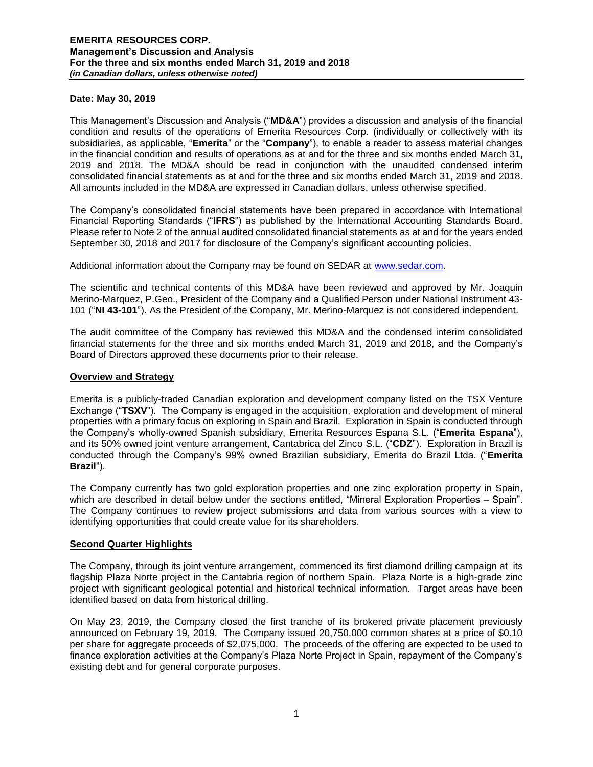### **Date: May 30, 2019**

This Management's Discussion and Analysis ("**MD&A**") provides a discussion and analysis of the financial condition and results of the operations of Emerita Resources Corp. (individually or collectively with its subsidiaries, as applicable, "**Emerita**" or the "**Company**"), to enable a reader to assess material changes in the financial condition and results of operations as at and for the three and six months ended March 31, 2019 and 2018. The MD&A should be read in conjunction with the unaudited condensed interim consolidated financial statements as at and for the three and six months ended March 31, 2019 and 2018. All amounts included in the MD&A are expressed in Canadian dollars, unless otherwise specified.

The Company's consolidated financial statements have been prepared in accordance with International Financial Reporting Standards ("**IFRS**") as published by the International Accounting Standards Board. Please refer to Note 2 of the annual audited consolidated financial statements as at and for the years ended September 30, 2018 and 2017 for disclosure of the Company's significant accounting policies.

Additional information about the Company may be found on SEDAR at [www.sedar.com.](http://www.sedar.com/)

The scientific and technical contents of this MD&A have been reviewed and approved by Mr. Joaquin Merino-Marquez, P.Geo., President of the Company and a Qualified Person under National Instrument 43- 101 ("**NI 43-101**"). As the President of the Company, Mr. Merino-Marquez is not considered independent.

The audit committee of the Company has reviewed this MD&A and the condensed interim consolidated financial statements for the three and six months ended March 31, 2019 and 2018, and the Company's Board of Directors approved these documents prior to their release.

### **Overview and Strategy**

Emerita is a publicly-traded Canadian exploration and development company listed on the TSX Venture Exchange ("**TSXV**"). The Company is engaged in the acquisition, exploration and development of mineral properties with a primary focus on exploring in Spain and Brazil. Exploration in Spain is conducted through the Company's wholly-owned Spanish subsidiary, Emerita Resources Espana S.L. ("**Emerita Espana**"), and its 50% owned joint venture arrangement, Cantabrica del Zinco S.L. ("**CDZ**"). Exploration in Brazil is conducted through the Company's 99% owned Brazilian subsidiary, Emerita do Brazil Ltda. ("**Emerita Brazil**").

The Company currently has two gold exploration properties and one zinc exploration property in Spain, which are described in detail below under the sections entitled, "Mineral Exploration Properties – Spain". The Company continues to review project submissions and data from various sources with a view to identifying opportunities that could create value for its shareholders.

#### **Second Quarter Highlights**

The Company, through its joint venture arrangement, commenced its first diamond drilling campaign at its flagship Plaza Norte project in the Cantabria region of northern Spain. Plaza Norte is a high-grade zinc project with significant geological potential and historical technical information. Target areas have been identified based on data from historical drilling.

On May 23, 2019, the Company closed the first tranche of its brokered private placement previously announced on February 19, 2019. The Company issued 20,750,000 common shares at a price of \$0.10 per share for aggregate proceeds of \$2,075,000. The proceeds of the offering are expected to be used to finance exploration activities at the Company's Plaza Norte Project in Spain, repayment of the Company's existing debt and for general corporate purposes.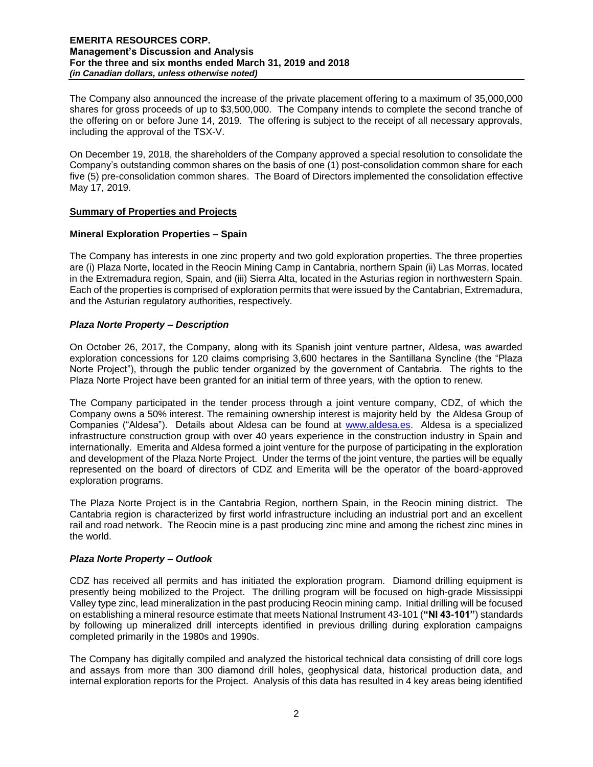The Company also announced the increase of the private placement offering to a maximum of 35,000,000 shares for gross proceeds of up to \$3,500,000. The Company intends to complete the second tranche of the offering on or before June 14, 2019. The offering is subject to the receipt of all necessary approvals, including the approval of the TSX-V.

On December 19, 2018, the shareholders of the Company approved a special resolution to consolidate the Company's outstanding common shares on the basis of one (1) post-consolidation common share for each five (5) pre-consolidation common shares. The Board of Directors implemented the consolidation effective May 17, 2019.

# **Summary of Properties and Projects**

# **Mineral Exploration Properties – Spain**

The Company has interests in one zinc property and two gold exploration properties. The three properties are (i) Plaza Norte, located in the Reocin Mining Camp in Cantabria, northern Spain (ii) Las Morras, located in the Extremadura region, Spain, and (iii) Sierra Alta, located in the Asturias region in northwestern Spain. Each of the properties is comprised of exploration permits that were issued by the Cantabrian, Extremadura, and the Asturian regulatory authorities, respectively.

# *Plaza Norte Property – Description*

On October 26, 2017, the Company, along with its Spanish joint venture partner, Aldesa, was awarded exploration concessions for 120 claims comprising 3,600 hectares in the Santillana Syncline (the "Plaza Norte Project"), through the public tender organized by the government of Cantabria. The rights to the Plaza Norte Project have been granted for an initial term of three years, with the option to renew.

The Company participated in the tender process through a joint venture company, CDZ, of which the Company owns a 50% interest. The remaining ownership interest is majority held by the Aldesa Group of Companies ("Aldesa"). Details about Aldesa can be found at [www.aldesa.es.](http://www.aldesa.es/) Aldesa is a specialized infrastructure construction group with over 40 years experience in the construction industry in Spain and internationally. Emerita and Aldesa formed a joint venture for the purpose of participating in the exploration and development of the Plaza Norte Project. Under the terms of the joint venture, the parties will be equally represented on the board of directors of CDZ and Emerita will be the operator of the board-approved exploration programs.

The Plaza Norte Project is in the Cantabria Region, northern Spain, in the Reocin mining district. The Cantabria region is characterized by first world infrastructure including an industrial port and an excellent rail and road network. The Reocin mine is a past producing zinc mine and among the richest zinc mines in the world.

# *Plaza Norte Property – Outlook*

CDZ has received all permits and has initiated the exploration program. Diamond drilling equipment is presently being mobilized to the Project. The drilling program will be focused on high-grade Mississippi Valley type zinc, lead mineralization in the past producing Reocin mining camp. Initial drilling will be focused on establishing a mineral resource estimate that meets National Instrument 43-101 (**"NI 43-101"**) standards by following up mineralized drill intercepts identified in previous drilling during exploration campaigns completed primarily in the 1980s and 1990s.

The Company has digitally compiled and analyzed the historical technical data consisting of drill core logs and assays from more than 300 diamond drill holes, geophysical data, historical production data, and internal exploration reports for the Project. Analysis of this data has resulted in 4 key areas being identified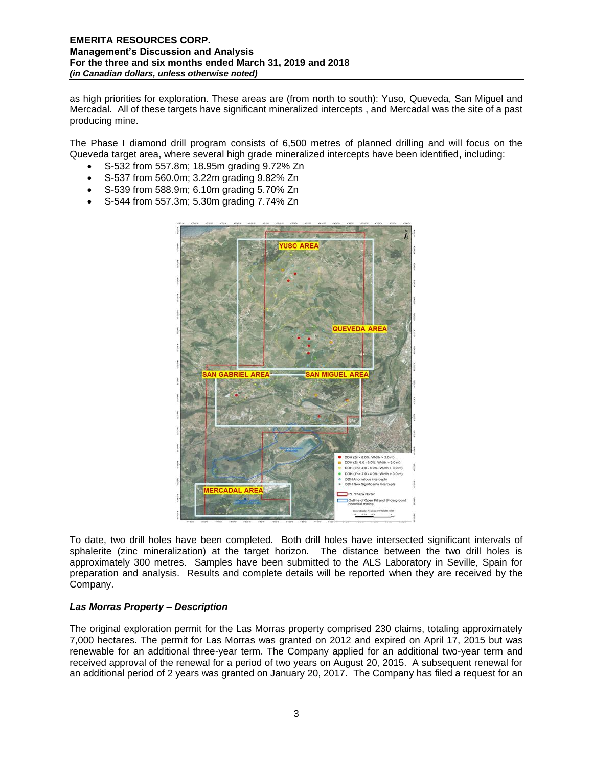as high priorities for exploration. These areas are (from north to south): Yuso, Queveda, San Miguel and Mercadal. All of these targets have significant mineralized intercepts , and Mercadal was the site of a past producing mine.

The Phase I diamond drill program consists of 6,500 metres of planned drilling and will focus on the Queveda target area, where several high grade mineralized intercepts have been identified, including:

- S-532 from 557.8m; 18.95m grading 9.72% Zn
- S-537 from 560.0m; 3.22m grading 9.82% Zn
- S-539 from 588.9m; 6.10m grading 5.70% Zn
- S-544 from 557.3m; 5.30m grading 7.74% Zn



To date, two drill holes have been completed. Both drill holes have intersected significant intervals of sphalerite (zinc mineralization) at the target horizon. The distance between the two drill holes is approximately 300 metres. Samples have been submitted to the ALS Laboratory in Seville, Spain for preparation and analysis. Results and complete details will be reported when they are received by the Company.

# *Las Morras Property – Description*

The original exploration permit for the Las Morras property comprised 230 claims, totaling approximately 7,000 hectares. The permit for Las Morras was granted on 2012 and expired on April 17, 2015 but was renewable for an additional three-year term. The Company applied for an additional two-year term and received approval of the renewal for a period of two years on August 20, 2015. A subsequent renewal for an additional period of 2 years was granted on January 20, 2017. The Company has filed a request for an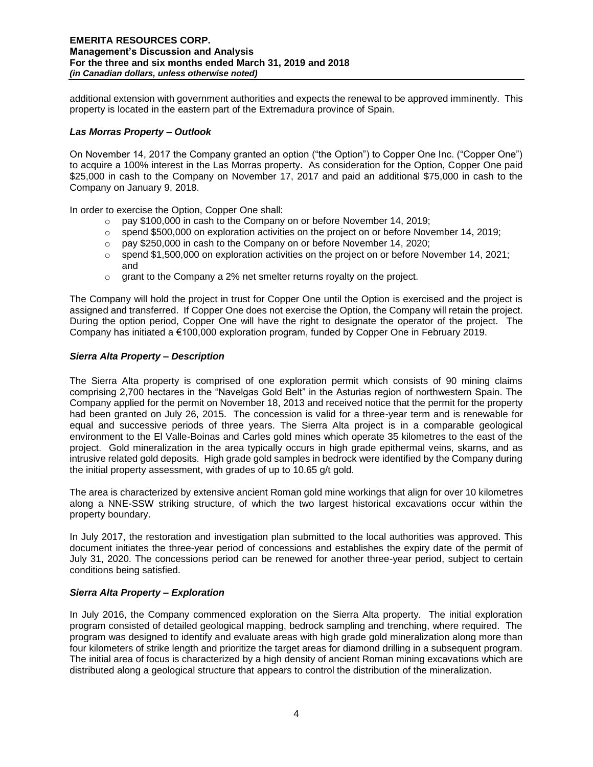additional extension with government authorities and expects the renewal to be approved imminently. This property is located in the eastern part of the Extremadura province of Spain.

# *Las Morras Property – Outlook*

On November 14, 2017 the Company granted an option ("the Option") to Copper One Inc. ("Copper One") to acquire a 100% interest in the Las Morras property. As consideration for the Option, Copper One paid \$25,000 in cash to the Company on November 17, 2017 and paid an additional \$75,000 in cash to the Company on January 9, 2018.

In order to exercise the Option, Copper One shall:

- o pay \$100,000 in cash to the Company on or before November 14, 2019;
- o spend \$500,000 on exploration activities on the project on or before November 14, 2019;
- o pay \$250,000 in cash to the Company on or before November 14, 2020;
- $\circ$  spend \$1,500,000 on exploration activities on the project on or before November 14, 2021; and
- o grant to the Company a 2% net smelter returns royalty on the project.

The Company will hold the project in trust for Copper One until the Option is exercised and the project is assigned and transferred. If Copper One does not exercise the Option, the Company will retain the project. During the option period, Copper One will have the right to designate the operator of the project. The Company has initiated a €100,000 exploration program, funded by Copper One in February 2019.

### *Sierra Alta Property – Description*

The Sierra Alta property is comprised of one exploration permit which consists of 90 mining claims comprising 2,700 hectares in the "Navelgas Gold Belt" in the Asturias region of northwestern Spain. The Company applied for the permit on November 18, 2013 and received notice that the permit for the property had been granted on July 26, 2015. The concession is valid for a three-year term and is renewable for equal and successive periods of three years. The Sierra Alta project is in a comparable geological environment to the El Valle-Boinas and Carles gold mines which operate 35 kilometres to the east of the project. Gold mineralization in the area typically occurs in high grade epithermal veins, skarns, and as intrusive related gold deposits. High grade gold samples in bedrock were identified by the Company during the initial property assessment, with grades of up to 10.65 g/t gold.

The area is characterized by extensive ancient Roman gold mine workings that align for over 10 kilometres along a NNE-SSW striking structure, of which the two largest historical excavations occur within the property boundary.

In July 2017, the restoration and investigation plan submitted to the local authorities was approved. This document initiates the three-year period of concessions and establishes the expiry date of the permit of July 31, 2020. The concessions period can be renewed for another three-year period, subject to certain conditions being satisfied.

# *Sierra Alta Property – Exploration*

In July 2016, the Company commenced exploration on the Sierra Alta property. The initial exploration program consisted of detailed geological mapping, bedrock sampling and trenching, where required. The program was designed to identify and evaluate areas with high grade gold mineralization along more than four kilometers of strike length and prioritize the target areas for diamond drilling in a subsequent program. The initial area of focus is characterized by a high density of ancient Roman mining excavations which are distributed along a geological structure that appears to control the distribution of the mineralization.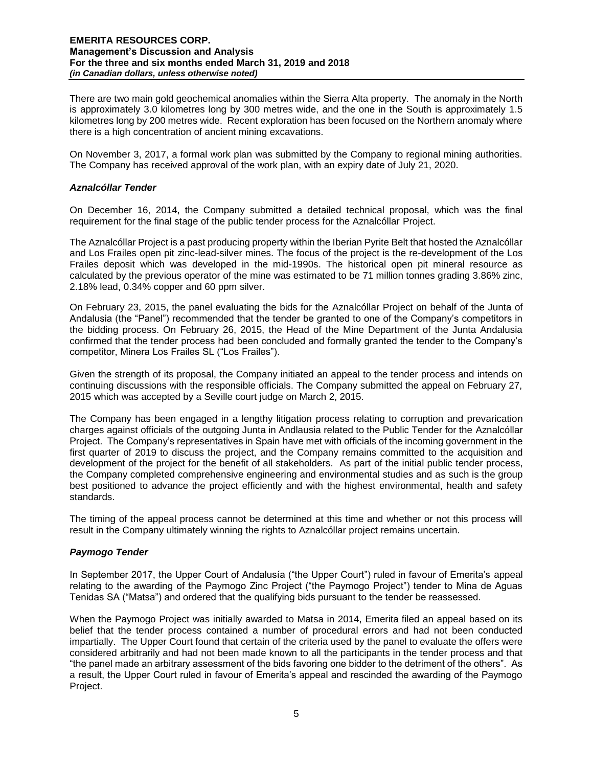There are two main gold geochemical anomalies within the Sierra Alta property. The anomaly in the North is approximately 3.0 kilometres long by 300 metres wide, and the one in the South is approximately 1.5 kilometres long by 200 metres wide. Recent exploration has been focused on the Northern anomaly where there is a high concentration of ancient mining excavations.

On November 3, 2017, a formal work plan was submitted by the Company to regional mining authorities. The Company has received approval of the work plan, with an expiry date of July 21, 2020.

### *Aznalcóllar Tender*

On December 16, 2014, the Company submitted a detailed technical proposal, which was the final requirement for the final stage of the public tender process for the Aznalcóllar Project.

The Aznalcóllar Project is a past producing property within the Iberian Pyrite Belt that hosted the Aznalcóllar and Los Frailes open pit zinc-lead-silver mines. The focus of the project is the re-development of the Los Frailes deposit which was developed in the mid-1990s. The historical open pit mineral resource as calculated by the previous operator of the mine was estimated to be 71 million tonnes grading 3.86% zinc, 2.18% lead, 0.34% copper and 60 ppm silver.

On February 23, 2015, the panel evaluating the bids for the Aznalcóllar Project on behalf of the Junta of Andalusia (the "Panel") recommended that the tender be granted to one of the Company's competitors in the bidding process. On February 26, 2015, the Head of the Mine Department of the Junta Andalusia confirmed that the tender process had been concluded and formally granted the tender to the Company's competitor, Minera Los Frailes SL ("Los Frailes").

Given the strength of its proposal, the Company initiated an appeal to the tender process and intends on continuing discussions with the responsible officials. The Company submitted the appeal on February 27, 2015 which was accepted by a Seville court judge on March 2, 2015.

The Company has been engaged in a lengthy litigation process relating to corruption and prevarication charges against officials of the outgoing Junta in Andlausia related to the Public Tender for the Aznalcóllar Project. The Company's representatives in Spain have met with officials of the incoming government in the first quarter of 2019 to discuss the project, and the Company remains committed to the acquisition and development of the project for the benefit of all stakeholders. As part of the initial public tender process, the Company completed comprehensive engineering and environmental studies and as such is the group best positioned to advance the project efficiently and with the highest environmental, health and safety standards.

The timing of the appeal process cannot be determined at this time and whether or not this process will result in the Company ultimately winning the rights to Aznalcóllar project remains uncertain.

# *Paymogo Tender*

In September 2017, the Upper Court of Andalusía ("the Upper Court") ruled in favour of Emerita's appeal relating to the awarding of the Paymogo Zinc Project ("the Paymogo Project") tender to Mina de Aguas Tenidas SA ("Matsa") and ordered that the qualifying bids pursuant to the tender be reassessed.

When the Paymogo Project was initially awarded to Matsa in 2014, Emerita filed an appeal based on its belief that the tender process contained a number of procedural errors and had not been conducted impartially. The Upper Court found that certain of the criteria used by the panel to evaluate the offers were considered arbitrarily and had not been made known to all the participants in the tender process and that "the panel made an arbitrary assessment of the bids favoring one bidder to the detriment of the others". As a result, the Upper Court ruled in favour of Emerita's appeal and rescinded the awarding of the Paymogo Project.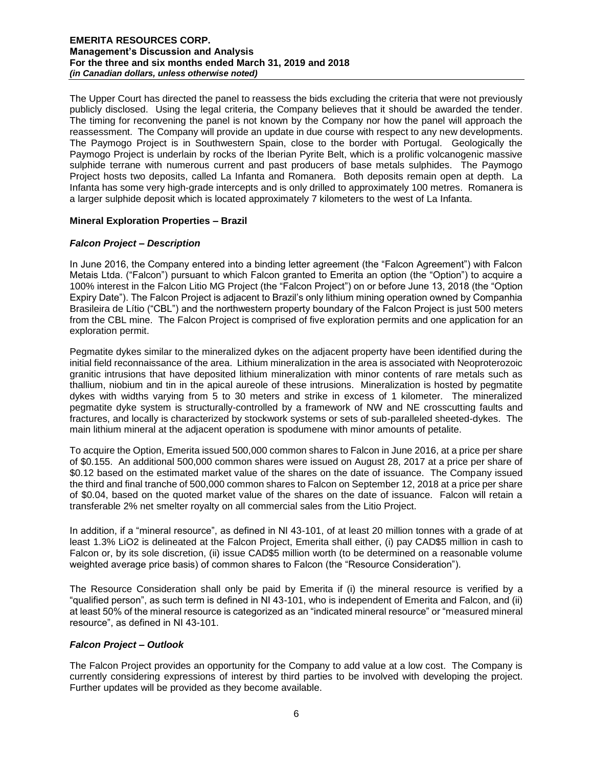The Upper Court has directed the panel to reassess the bids excluding the criteria that were not previously publicly disclosed. Using the legal criteria, the Company believes that it should be awarded the tender. The timing for reconvening the panel is not known by the Company nor how the panel will approach the reassessment. The Company will provide an update in due course with respect to any new developments. The Paymogo Project is in Southwestern Spain, close to the border with Portugal. Geologically the Paymogo Project is underlain by rocks of the Iberian Pyrite Belt, which is a prolific volcanogenic massive sulphide terrane with numerous current and past producers of base metals sulphides. The Paymogo Project hosts two deposits, called La Infanta and Romanera. Both deposits remain open at depth. La Infanta has some very high-grade intercepts and is only drilled to approximately 100 metres. Romanera is a larger sulphide deposit which is located approximately 7 kilometers to the west of La Infanta.

# **Mineral Exploration Properties – Brazil**

# *Falcon Project – Description*

In June 2016, the Company entered into a binding letter agreement (the "Falcon Agreement") with Falcon Metais Ltda. ("Falcon") pursuant to which Falcon granted to Emerita an option (the "Option") to acquire a 100% interest in the Falcon Litio MG Project (the "Falcon Project") on or before June 13, 2018 (the "Option Expiry Date"). The Falcon Project is adjacent to Brazil's only lithium mining operation owned by Companhia Brasileira de Lítio ("CBL") and the northwestern property boundary of the Falcon Project is just 500 meters from the CBL mine. The Falcon Project is comprised of five exploration permits and one application for an exploration permit.

Pegmatite dykes similar to the mineralized dykes on the adjacent property have been identified during the initial field reconnaissance of the area. Lithium mineralization in the area is associated with Neoproterozoic granitic intrusions that have deposited lithium mineralization with minor contents of rare metals such as thallium, niobium and tin in the apical aureole of these intrusions. Mineralization is hosted by pegmatite dykes with widths varying from 5 to 30 meters and strike in excess of 1 kilometer. The mineralized pegmatite dyke system is structurally-controlled by a framework of NW and NE crosscutting faults and fractures, and locally is characterized by stockwork systems or sets of sub-paralleled sheeted-dykes. The main lithium mineral at the adjacent operation is spodumene with minor amounts of petalite.

To acquire the Option, Emerita issued 500,000 common shares to Falcon in June 2016, at a price per share of \$0.155. An additional 500,000 common shares were issued on August 28, 2017 at a price per share of \$0.12 based on the estimated market value of the shares on the date of issuance. The Company issued the third and final tranche of 500,000 common shares to Falcon on September 12, 2018 at a price per share of \$0.04, based on the quoted market value of the shares on the date of issuance. Falcon will retain a transferable 2% net smelter royalty on all commercial sales from the Litio Project.

In addition, if a "mineral resource", as defined in NI 43-101, of at least 20 million tonnes with a grade of at least 1.3% LiO2 is delineated at the Falcon Project, Emerita shall either, (i) pay CAD\$5 million in cash to Falcon or, by its sole discretion, (ii) issue CAD\$5 million worth (to be determined on a reasonable volume weighted average price basis) of common shares to Falcon (the "Resource Consideration").

The Resource Consideration shall only be paid by Emerita if (i) the mineral resource is verified by a "qualified person", as such term is defined in NI 43-101, who is independent of Emerita and Falcon, and (ii) at least 50% of the mineral resource is categorized as an "indicated mineral resource" or "measured mineral resource", as defined in NI 43-101.

# *Falcon Project – Outlook*

The Falcon Project provides an opportunity for the Company to add value at a low cost. The Company is currently considering expressions of interest by third parties to be involved with developing the project. Further updates will be provided as they become available.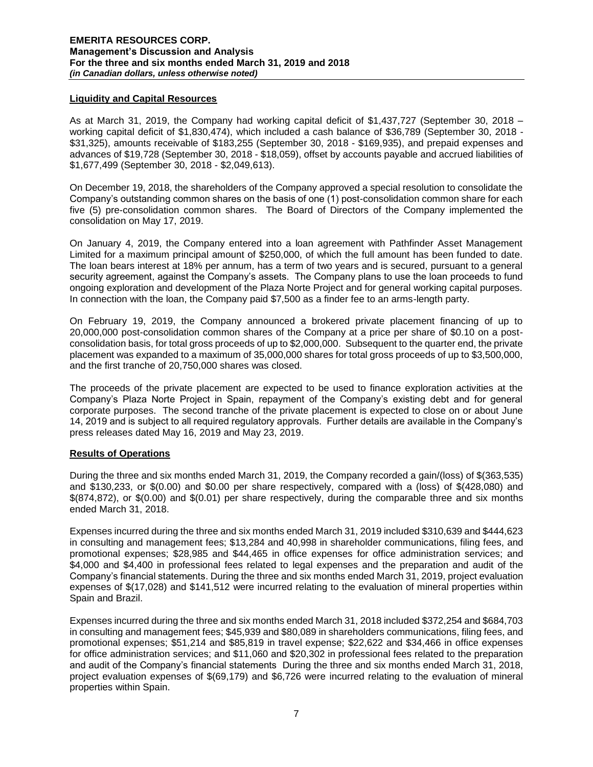# **Liquidity and Capital Resources**

As at March 31, 2019, the Company had working capital deficit of \$1,437,727 (September 30, 2018 – working capital deficit of \$1,830,474), which included a cash balance of \$36,789 (September 30, 2018 - \$31,325), amounts receivable of \$183,255 (September 30, 2018 - \$169,935), and prepaid expenses and advances of \$19,728 (September 30, 2018 - \$18,059), offset by accounts payable and accrued liabilities of \$1,677,499 (September 30, 2018 - \$2,049,613).

On December 19, 2018, the shareholders of the Company approved a special resolution to consolidate the Company's outstanding common shares on the basis of one (1) post-consolidation common share for each five (5) pre-consolidation common shares. The Board of Directors of the Company implemented the consolidation on May 17, 2019.

On January 4, 2019, the Company entered into a loan agreement with Pathfinder Asset Management Limited for a maximum principal amount of \$250,000, of which the full amount has been funded to date. The loan bears interest at 18% per annum, has a term of two years and is secured, pursuant to a general security agreement, against the Company's assets. The Company plans to use the loan proceeds to fund ongoing exploration and development of the Plaza Norte Project and for general working capital purposes. In connection with the loan, the Company paid \$7,500 as a finder fee to an arms-length party.

On February 19, 2019, the Company announced a brokered private placement financing of up to 20,000,000 post-consolidation common shares of the Company at a price per share of \$0.10 on a postconsolidation basis, for total gross proceeds of up to \$2,000,000. Subsequent to the quarter end, the private placement was expanded to a maximum of 35,000,000 shares for total gross proceeds of up to \$3,500,000, and the first tranche of 20,750,000 shares was closed.

The proceeds of the private placement are expected to be used to finance exploration activities at the Company's Plaza Norte Project in Spain, repayment of the Company's existing debt and for general corporate purposes. The second tranche of the private placement is expected to close on or about June 14, 2019 and is subject to all required regulatory approvals. Further details are available in the Company's press releases dated May 16, 2019 and May 23, 2019.

# **Results of Operations**

During the three and six months ended March 31, 2019, the Company recorded a gain/(loss) of \$(363,535) and \$130,233, or \$(0.00) and \$0.00 per share respectively, compared with a (loss) of \$(428,080) and \$(874,872), or \$(0.00) and \$(0.01) per share respectively, during the comparable three and six months ended March 31, 2018.

Expenses incurred during the three and six months ended March 31, 2019 included \$310,639 and \$444,623 in consulting and management fees; \$13,284 and 40,998 in shareholder communications, filing fees, and promotional expenses; \$28,985 and \$44,465 in office expenses for office administration services; and \$4,000 and \$4,400 in professional fees related to legal expenses and the preparation and audit of the Company's financial statements. During the three and six months ended March 31, 2019, project evaluation expenses of \$(17,028) and \$141,512 were incurred relating to the evaluation of mineral properties within Spain and Brazil.

Expenses incurred during the three and six months ended March 31, 2018 included \$372,254 and \$684,703 in consulting and management fees; \$45,939 and \$80,089 in shareholders communications, filing fees, and promotional expenses; \$51,214 and \$85,819 in travel expense; \$22,622 and \$34,466 in office expenses for office administration services; and \$11,060 and \$20,302 in professional fees related to the preparation and audit of the Company's financial statements During the three and six months ended March 31, 2018, project evaluation expenses of \$(69,179) and \$6,726 were incurred relating to the evaluation of mineral properties within Spain.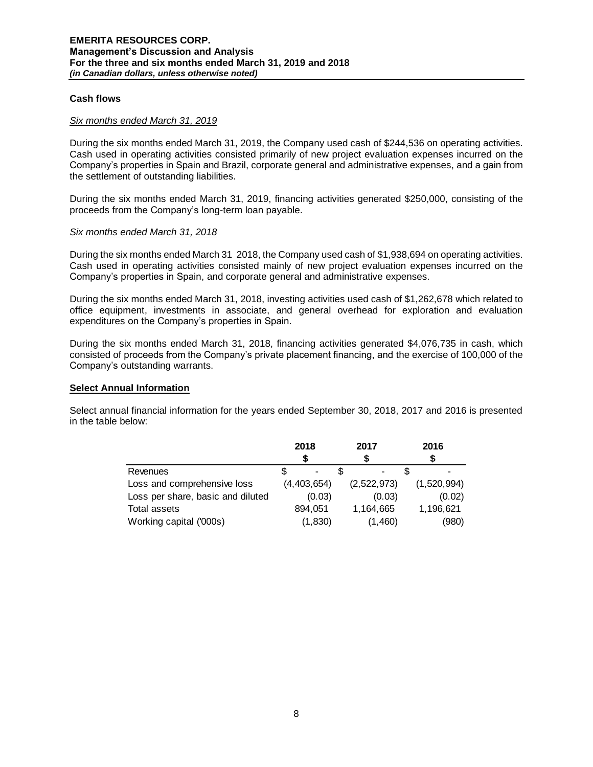### **Cash flows**

#### *Six months ended March 31, 2019*

During the six months ended March 31, 2019, the Company used cash of \$244,536 on operating activities. Cash used in operating activities consisted primarily of new project evaluation expenses incurred on the Company's properties in Spain and Brazil, corporate general and administrative expenses, and a gain from the settlement of outstanding liabilities.

During the six months ended March 31, 2019, financing activities generated \$250,000, consisting of the proceeds from the Company's long-term loan payable.

### *Six months ended March 31, 2018*

During the six months ended March 31 2018, the Company used cash of \$1,938,694 on operating activities. Cash used in operating activities consisted mainly of new project evaluation expenses incurred on the Company's properties in Spain, and corporate general and administrative expenses.

During the six months ended March 31, 2018, investing activities used cash of \$1,262,678 which related to office equipment, investments in associate, and general overhead for exploration and evaluation expenditures on the Company's properties in Spain.

During the six months ended March 31, 2018, financing activities generated \$4,076,735 in cash, which consisted of proceeds from the Company's private placement financing, and the exercise of 100,000 of the Company's outstanding warrants.

### **Select Annual Information**

Select annual financial information for the years ended September 30, 2018, 2017 and 2016 is presented in the table below:

|                                   | 2018 |             | 2017        |         | 2016 |             |
|-----------------------------------|------|-------------|-------------|---------|------|-------------|
|                                   |      |             |             |         |      |             |
| Revenues                          |      |             |             |         |      |             |
| Loss and comprehensive loss       |      | (4,403,654) | (2,522,973) |         |      | (1,520,994) |
| Loss per share, basic and diluted |      | (0.03)      |             | (0.03)  |      | (0.02)      |
| Total assets                      |      | 894.051     | 1,164,665   |         |      | 1,196,621   |
| Working capital ('000s)           |      | (1, 830)    |             | (1,460) |      | (980)       |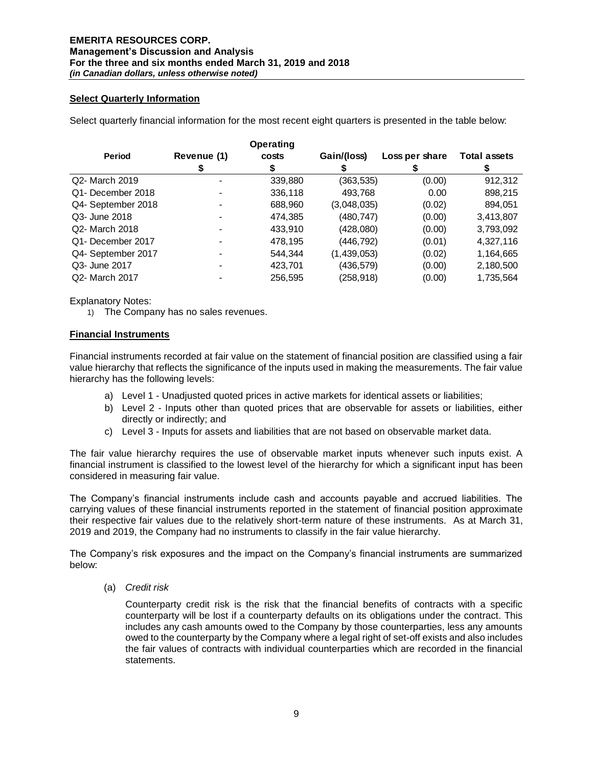# **Select Quarterly Information**

Select quarterly financial information for the most recent eight quarters is presented in the table below:

|                               |             | <b>Operating</b> |             |                |                     |
|-------------------------------|-------------|------------------|-------------|----------------|---------------------|
| <b>Period</b>                 | Revenue (1) | costs            | Gain/(loss) | Loss per share | <b>Total assets</b> |
|                               |             |                  |             |                |                     |
| Q2- March 2019                |             | 339,880          | (363,535)   | (0.00)         | 912,312             |
| Q1- December 2018             |             | 336,118          | 493,768     | 0.00           | 898,215             |
| Q4- September 2018            |             | 688,960          | (3,048,035) | (0.02)         | 894,051             |
| Q3- June 2018                 |             | 474.385          | (480, 747)  | (0.00)         | 3,413,807           |
| Q2- March 2018                |             | 433,910          | (428,080)   | (0.00)         | 3,793,092           |
| Q <sub>1</sub> -December 2017 |             | 478,195          | (446,792)   | (0.01)         | 4,327,116           |
| Q4- September 2017            |             | 544.344          | (1,439,053) | (0.02)         | 1,164,665           |
| Q3- June 2017                 |             | 423.701          | (436, 579)  | (0.00)         | 2,180,500           |
| Q2- March 2017                |             | 256,595          | (258, 918)  | (0.00)         | 1,735,564           |

Explanatory Notes:

1) The Company has no sales revenues.

### **Financial Instruments**

Financial instruments recorded at fair value on the statement of financial position are classified using a fair value hierarchy that reflects the significance of the inputs used in making the measurements. The fair value hierarchy has the following levels:

- a) Level 1 Unadjusted quoted prices in active markets for identical assets or liabilities;
- b) Level 2 Inputs other than quoted prices that are observable for assets or liabilities, either directly or indirectly; and
- c) Level 3 Inputs for assets and liabilities that are not based on observable market data.

The fair value hierarchy requires the use of observable market inputs whenever such inputs exist. A financial instrument is classified to the lowest level of the hierarchy for which a significant input has been considered in measuring fair value.

The Company's financial instruments include cash and accounts payable and accrued liabilities. The carrying values of these financial instruments reported in the statement of financial position approximate their respective fair values due to the relatively short-term nature of these instruments. As at March 31, 2019 and 2019, the Company had no instruments to classify in the fair value hierarchy.

The Company's risk exposures and the impact on the Company's financial instruments are summarized below:

(a) *Credit risk* 

Counterparty credit risk is the risk that the financial benefits of contracts with a specific counterparty will be lost if a counterparty defaults on its obligations under the contract. This includes any cash amounts owed to the Company by those counterparties, less any amounts owed to the counterparty by the Company where a legal right of set-off exists and also includes the fair values of contracts with individual counterparties which are recorded in the financial statements.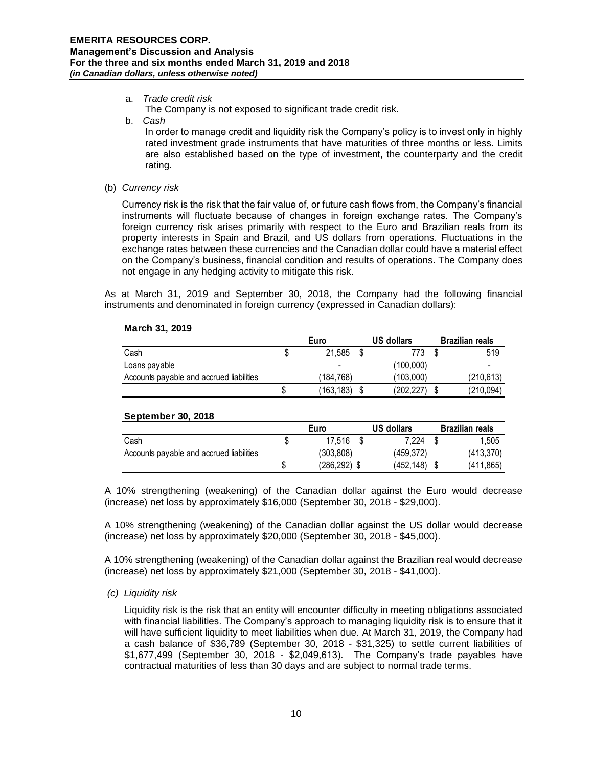# a. *Trade credit risk*

- The Company is not exposed to significant trade credit risk.
- b. *Cash*

In order to manage credit and liquidity risk the Company's policy is to invest only in highly rated investment grade instruments that have maturities of three months or less. Limits are also established based on the type of investment, the counterparty and the credit rating.

(b) *Currency risk* 

Currency risk is the risk that the fair value of, or future cash flows from, the Company's financial instruments will fluctuate because of changes in foreign exchange rates. The Company's foreign currency risk arises primarily with respect to the Euro and Brazilian reals from its property interests in Spain and Brazil, and US dollars from operations. Fluctuations in the exchange rates between these currencies and the Canadian dollar could have a material effect on the Company's business, financial condition and results of operations. The Company does not engage in any hedging activity to mitigate this risk.

As at March 31, 2019 and September 30, 2018, the Company had the following financial instruments and denominated in foreign currency (expressed in Canadian dollars):

|                                          | Euro |                          |  | <b>US dollars</b> |  | <b>Brazilian reals</b> |  |
|------------------------------------------|------|--------------------------|--|-------------------|--|------------------------|--|
| Cash                                     |      | 21.585                   |  | 773               |  | 519                    |  |
| Loans payable                            |      | $\overline{\phantom{0}}$ |  | (100,000)         |  | -                      |  |
| Accounts payable and accrued liabilities |      | 184.768)                 |  | (103.000)         |  | (210, 613)             |  |
|                                          |      | (163, 183)               |  | (202,227          |  | (210, 094)             |  |

#### **March 31, 2019**

# **September 30, 2018**

|                                          | Euro      |  | US dollars |  | <b>Brazilian reals</b> |
|------------------------------------------|-----------|--|------------|--|------------------------|
| Cash                                     | 17.516    |  | 7.224      |  | 1.505                  |
| Accounts payable and accrued liabilities | (303.808) |  | (459.372)  |  | (413.370)              |
|                                          | (286.292) |  | (452.148)  |  | (411,865)              |

A 10% strengthening (weakening) of the Canadian dollar against the Euro would decrease (increase) net loss by approximately \$16,000 (September 30, 2018 - \$29,000).

A 10% strengthening (weakening) of the Canadian dollar against the US dollar would decrease (increase) net loss by approximately \$20,000 (September 30, 2018 - \$45,000).

A 10% strengthening (weakening) of the Canadian dollar against the Brazilian real would decrease (increase) net loss by approximately \$21,000 (September 30, 2018 - \$41,000).

#### *(c) Liquidity risk*

Liquidity risk is the risk that an entity will encounter difficulty in meeting obligations associated with financial liabilities. The Company's approach to managing liquidity risk is to ensure that it will have sufficient liquidity to meet liabilities when due. At March 31, 2019, the Company had a cash balance of \$36,789 (September 30, 2018 - \$31,325) to settle current liabilities of \$1,677,499 (September 30, 2018 - \$2,049,613). The Company's trade payables have contractual maturities of less than 30 days and are subject to normal trade terms.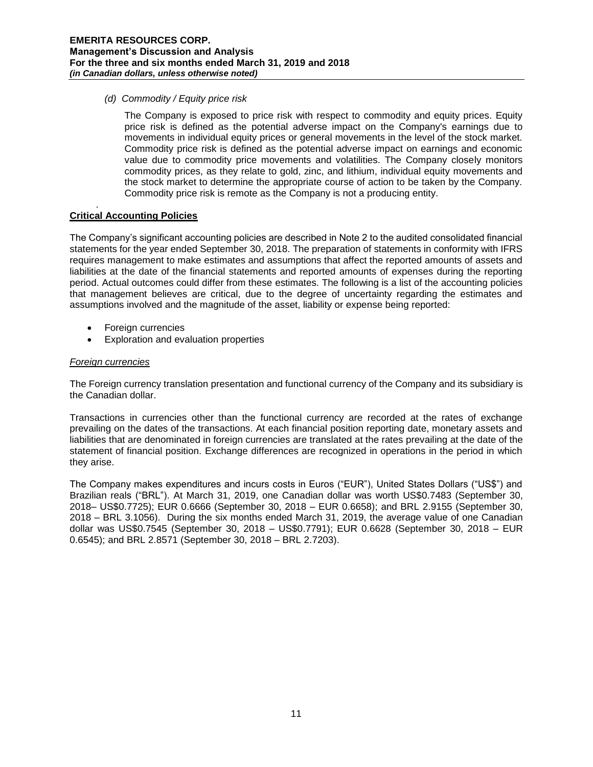*(d) Commodity / Equity price risk*

The Company is exposed to price risk with respect to commodity and equity prices. Equity price risk is defined as the potential adverse impact on the Company's earnings due to movements in individual equity prices or general movements in the level of the stock market. Commodity price risk is defined as the potential adverse impact on earnings and economic value due to commodity price movements and volatilities. The Company closely monitors commodity prices, as they relate to gold, zinc, and lithium, individual equity movements and the stock market to determine the appropriate course of action to be taken by the Company. Commodity price risk is remote as the Company is not a producing entity.

#### . **Critical Accounting Policies**

The Company's significant accounting policies are described in Note 2 to the audited consolidated financial statements for the year ended September 30, 2018. The preparation of statements in conformity with IFRS requires management to make estimates and assumptions that affect the reported amounts of assets and liabilities at the date of the financial statements and reported amounts of expenses during the reporting period. Actual outcomes could differ from these estimates. The following is a list of the accounting policies that management believes are critical, due to the degree of uncertainty regarding the estimates and assumptions involved and the magnitude of the asset, liability or expense being reported:

- Foreign currencies
- Exploration and evaluation properties

# *Foreign currencies*

The Foreign currency translation presentation and functional currency of the Company and its subsidiary is the Canadian dollar.

Transactions in currencies other than the functional currency are recorded at the rates of exchange prevailing on the dates of the transactions. At each financial position reporting date, monetary assets and liabilities that are denominated in foreign currencies are translated at the rates prevailing at the date of the statement of financial position. Exchange differences are recognized in operations in the period in which they arise.

The Company makes expenditures and incurs costs in Euros ("EUR"), United States Dollars ("US\$") and Brazilian reals ("BRL"). At March 31, 2019, one Canadian dollar was worth US\$0.7483 (September 30, 2018– US\$0.7725); EUR 0.6666 (September 30, 2018 – EUR 0.6658); and BRL 2.9155 (September 30, 2018 – BRL 3.1056). During the six months ended March 31, 2019, the average value of one Canadian dollar was US\$0.7545 (September 30, 2018 – US\$0.7791); EUR 0.6628 (September 30, 2018 – EUR 0.6545); and BRL 2.8571 (September 30, 2018 – BRL 2.7203).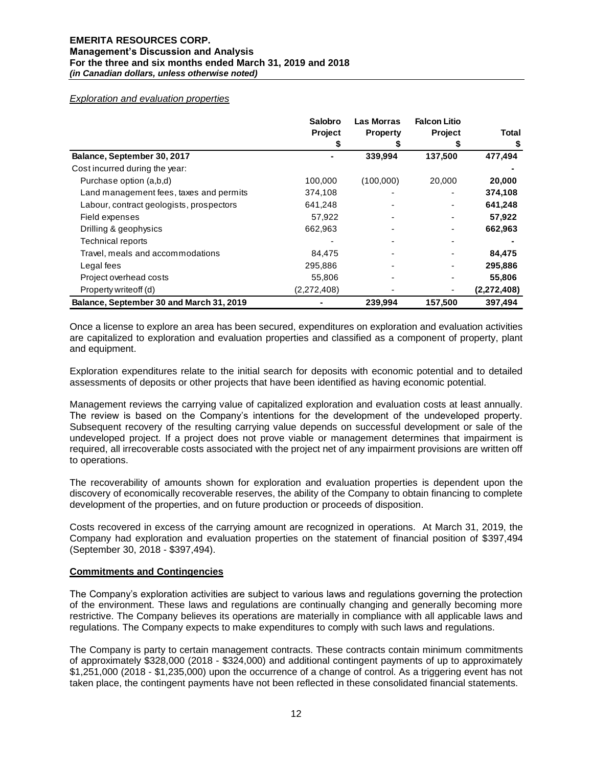#### *Exploration and evaluation properties*

|                                          | <b>Salobro</b> | <b>Las Morras</b> | <b>Falcon Litio</b> |               |
|------------------------------------------|----------------|-------------------|---------------------|---------------|
|                                          | <b>Project</b> | <b>Property</b>   | <b>Project</b>      | Total         |
|                                          |                |                   |                     |               |
| Balance, September 30, 2017              |                | 339,994           | 137,500             | 477,494       |
| Cost incurred during the year:           |                |                   |                     |               |
| Purchase option (a,b,d)                  | 100,000        | (100,000)         | 20,000              | 20,000        |
| Land management fees, taxes and permits  | 374,108        |                   |                     | 374,108       |
| Labour, contract geologists, prospectors | 641,248        |                   |                     | 641,248       |
| Field expenses                           | 57,922         |                   |                     | 57,922        |
| Drilling & geophysics                    | 662,963        |                   |                     | 662,963       |
| <b>Technical reports</b>                 |                |                   |                     |               |
| Travel, meals and accommodations         | 84.475         |                   |                     | 84,475        |
| Legal fees                               | 295,886        |                   |                     | 295,886       |
| Project overhead costs                   | 55,806         |                   |                     | 55,806        |
| Property writeoff (d)                    | (2,272,408)    |                   |                     | (2, 272, 408) |
| Balance, September 30 and March 31, 2019 |                | 239,994           | 157,500             | 397,494       |

Once a license to explore an area has been secured, expenditures on exploration and evaluation activities are capitalized to exploration and evaluation properties and classified as a component of property, plant and equipment.

Exploration expenditures relate to the initial search for deposits with economic potential and to detailed assessments of deposits or other projects that have been identified as having economic potential.

Management reviews the carrying value of capitalized exploration and evaluation costs at least annually. The review is based on the Company's intentions for the development of the undeveloped property. Subsequent recovery of the resulting carrying value depends on successful development or sale of the undeveloped project. If a project does not prove viable or management determines that impairment is required, all irrecoverable costs associated with the project net of any impairment provisions are written off to operations.

The recoverability of amounts shown for exploration and evaluation properties is dependent upon the discovery of economically recoverable reserves, the ability of the Company to obtain financing to complete development of the properties, and on future production or proceeds of disposition.

Costs recovered in excess of the carrying amount are recognized in operations. At March 31, 2019, the Company had exploration and evaluation properties on the statement of financial position of \$397,494 (September 30, 2018 - \$397,494).

#### **Commitments and Contingencies**

The Company's exploration activities are subject to various laws and regulations governing the protection of the environment. These laws and regulations are continually changing and generally becoming more restrictive. The Company believes its operations are materially in compliance with all applicable laws and regulations. The Company expects to make expenditures to comply with such laws and regulations.

The Company is party to certain management contracts. These contracts contain minimum commitments of approximately \$328,000 (2018 - \$324,000) and additional contingent payments of up to approximately \$1,251,000 (2018 - \$1,235,000) upon the occurrence of a change of control. As a triggering event has not taken place, the contingent payments have not been reflected in these consolidated financial statements.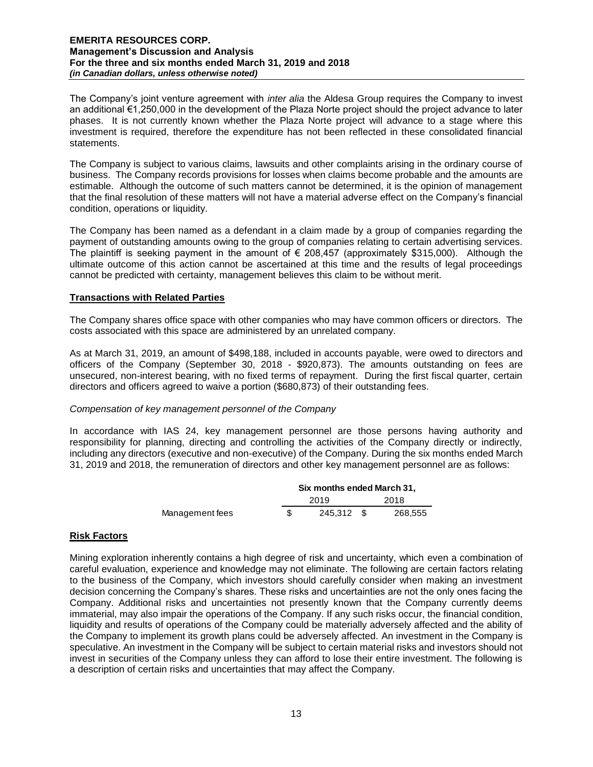The Company's joint venture agreement with *inter alia* the Aldesa Group requires the Company to invest an additional €1,250,000 in the development of the Plaza Norte project should the project advance to later phases. It is not currently known whether the Plaza Norte project will advance to a stage where this investment is required, therefore the expenditure has not been reflected in these consolidated financial statements.

The Company is subject to various claims, lawsuits and other complaints arising in the ordinary course of business. The Company records provisions for losses when claims become probable and the amounts are estimable. Although the outcome of such matters cannot be determined, it is the opinion of management that the final resolution of these matters will not have a material adverse effect on the Company's financial condition, operations or liquidity.

The Company has been named as a defendant in a claim made by a group of companies regarding the payment of outstanding amounts owing to the group of companies relating to certain advertising services. The plaintiff is seeking payment in the amount of  $\epsilon$  208.457 (approximately \$315,000). Although the ultimate outcome of this action cannot be ascertained at this time and the results of legal proceedings cannot be predicted with certainty, management believes this claim to be without merit.

# **Transactions with Related Parties**

The Company shares office space with other companies who may have common officers or directors. The costs associated with this space are administered by an unrelated company.

As at March 31, 2019, an amount of \$498,188, included in accounts payable, were owed to directors and officers of the Company (September 30, 2018 - \$920,873). The amounts outstanding on fees are unsecured, non-interest bearing, with no fixed terms of repayment. During the first fiscal quarter, certain directors and officers agreed to waive a portion (\$680,873) of their outstanding fees.

# *Compensation of key management personnel of the Company*

In accordance with IAS 24, key management personnel are those persons having authority and responsibility for planning, directing and controlling the activities of the Company directly or indirectly, including any directors (executive and non-executive) of the Company. During the six months ended March 31, 2019 and 2018, the remuneration of directors and other key management personnel are as follows:

|                 | Six months ended March 31, |      |         |  |  |  |
|-----------------|----------------------------|------|---------|--|--|--|
|                 | 2019                       | 2018 |         |  |  |  |
| Management fees | 245.312 \$                 |      | 268.555 |  |  |  |

# **Risk Factors**

Mining exploration inherently contains a high degree of risk and uncertainty, which even a combination of careful evaluation, experience and knowledge may not eliminate. The following are certain factors relating to the business of the Company, which investors should carefully consider when making an investment decision concerning the Company's shares. These risks and uncertainties are not the only ones facing the Company. Additional risks and uncertainties not presently known that the Company currently deems immaterial, may also impair the operations of the Company. If any such risks occur, the financial condition, liquidity and results of operations of the Company could be materially adversely affected and the ability of the Company to implement its growth plans could be adversely affected. An investment in the Company is speculative. An investment in the Company will be subject to certain material risks and investors should not invest in securities of the Company unless they can afford to lose their entire investment. The following is a description of certain risks and uncertainties that may affect the Company.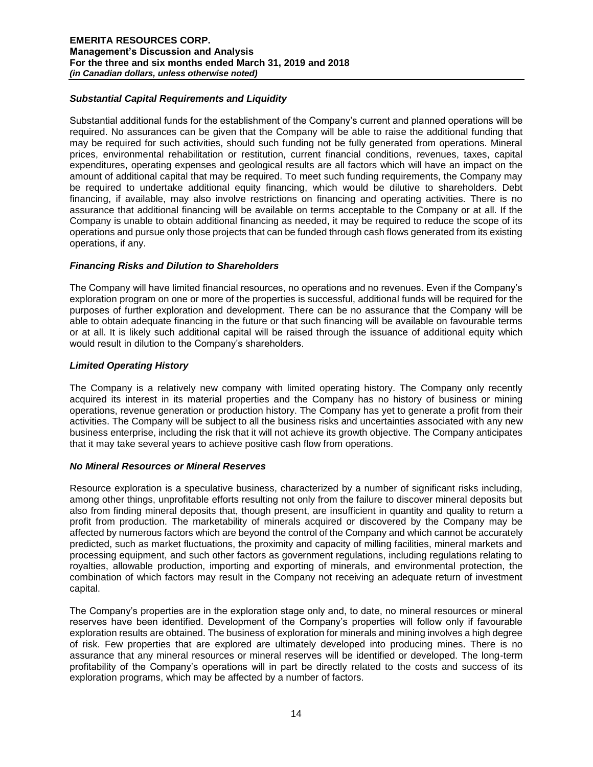# *Substantial Capital Requirements and Liquidity*

Substantial additional funds for the establishment of the Company's current and planned operations will be required. No assurances can be given that the Company will be able to raise the additional funding that may be required for such activities, should such funding not be fully generated from operations. Mineral prices, environmental rehabilitation or restitution, current financial conditions, revenues, taxes, capital expenditures, operating expenses and geological results are all factors which will have an impact on the amount of additional capital that may be required. To meet such funding requirements, the Company may be required to undertake additional equity financing, which would be dilutive to shareholders. Debt financing, if available, may also involve restrictions on financing and operating activities. There is no assurance that additional financing will be available on terms acceptable to the Company or at all. If the Company is unable to obtain additional financing as needed, it may be required to reduce the scope of its operations and pursue only those projects that can be funded through cash flows generated from its existing operations, if any.

# *Financing Risks and Dilution to Shareholders*

The Company will have limited financial resources, no operations and no revenues. Even if the Company's exploration program on one or more of the properties is successful, additional funds will be required for the purposes of further exploration and development. There can be no assurance that the Company will be able to obtain adequate financing in the future or that such financing will be available on favourable terms or at all. It is likely such additional capital will be raised through the issuance of additional equity which would result in dilution to the Company's shareholders.

# *Limited Operating History*

The Company is a relatively new company with limited operating history. The Company only recently acquired its interest in its material properties and the Company has no history of business or mining operations, revenue generation or production history. The Company has yet to generate a profit from their activities. The Company will be subject to all the business risks and uncertainties associated with any new business enterprise, including the risk that it will not achieve its growth objective. The Company anticipates that it may take several years to achieve positive cash flow from operations.

# *No Mineral Resources or Mineral Reserves*

Resource exploration is a speculative business, characterized by a number of significant risks including, among other things, unprofitable efforts resulting not only from the failure to discover mineral deposits but also from finding mineral deposits that, though present, are insufficient in quantity and quality to return a profit from production. The marketability of minerals acquired or discovered by the Company may be affected by numerous factors which are beyond the control of the Company and which cannot be accurately predicted, such as market fluctuations, the proximity and capacity of milling facilities, mineral markets and processing equipment, and such other factors as government regulations, including regulations relating to royalties, allowable production, importing and exporting of minerals, and environmental protection, the combination of which factors may result in the Company not receiving an adequate return of investment capital.

The Company's properties are in the exploration stage only and, to date, no mineral resources or mineral reserves have been identified. Development of the Company's properties will follow only if favourable exploration results are obtained. The business of exploration for minerals and mining involves a high degree of risk. Few properties that are explored are ultimately developed into producing mines. There is no assurance that any mineral resources or mineral reserves will be identified or developed. The long-term profitability of the Company's operations will in part be directly related to the costs and success of its exploration programs, which may be affected by a number of factors.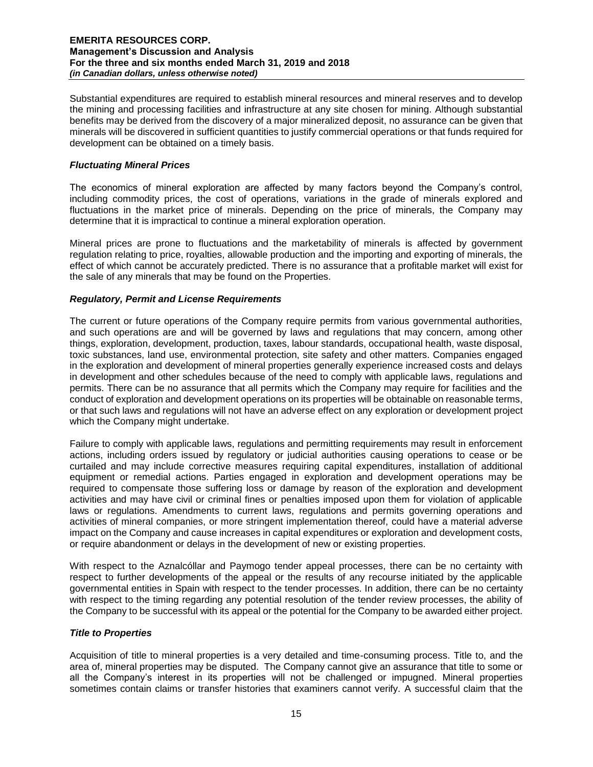Substantial expenditures are required to establish mineral resources and mineral reserves and to develop the mining and processing facilities and infrastructure at any site chosen for mining. Although substantial benefits may be derived from the discovery of a major mineralized deposit, no assurance can be given that minerals will be discovered in sufficient quantities to justify commercial operations or that funds required for development can be obtained on a timely basis.

# *Fluctuating Mineral Prices*

The economics of mineral exploration are affected by many factors beyond the Company's control, including commodity prices, the cost of operations, variations in the grade of minerals explored and fluctuations in the market price of minerals. Depending on the price of minerals, the Company may determine that it is impractical to continue a mineral exploration operation.

Mineral prices are prone to fluctuations and the marketability of minerals is affected by government regulation relating to price, royalties, allowable production and the importing and exporting of minerals, the effect of which cannot be accurately predicted. There is no assurance that a profitable market will exist for the sale of any minerals that may be found on the Properties.

# *Regulatory, Permit and License Requirements*

The current or future operations of the Company require permits from various governmental authorities, and such operations are and will be governed by laws and regulations that may concern, among other things, exploration, development, production, taxes, labour standards, occupational health, waste disposal, toxic substances, land use, environmental protection, site safety and other matters. Companies engaged in the exploration and development of mineral properties generally experience increased costs and delays in development and other schedules because of the need to comply with applicable laws, regulations and permits. There can be no assurance that all permits which the Company may require for facilities and the conduct of exploration and development operations on its properties will be obtainable on reasonable terms, or that such laws and regulations will not have an adverse effect on any exploration or development project which the Company might undertake.

Failure to comply with applicable laws, regulations and permitting requirements may result in enforcement actions, including orders issued by regulatory or judicial authorities causing operations to cease or be curtailed and may include corrective measures requiring capital expenditures, installation of additional equipment or remedial actions. Parties engaged in exploration and development operations may be required to compensate those suffering loss or damage by reason of the exploration and development activities and may have civil or criminal fines or penalties imposed upon them for violation of applicable laws or regulations. Amendments to current laws, regulations and permits governing operations and activities of mineral companies, or more stringent implementation thereof, could have a material adverse impact on the Company and cause increases in capital expenditures or exploration and development costs, or require abandonment or delays in the development of new or existing properties.

With respect to the Aznalcóllar and Paymogo tender appeal processes, there can be no certainty with respect to further developments of the appeal or the results of any recourse initiated by the applicable governmental entities in Spain with respect to the tender processes. In addition, there can be no certainty with respect to the timing regarding any potential resolution of the tender review processes, the ability of the Company to be successful with its appeal or the potential for the Company to be awarded either project.

# *Title to Properties*

Acquisition of title to mineral properties is a very detailed and time-consuming process. Title to, and the area of, mineral properties may be disputed. The Company cannot give an assurance that title to some or all the Company's interest in its properties will not be challenged or impugned. Mineral properties sometimes contain claims or transfer histories that examiners cannot verify. A successful claim that the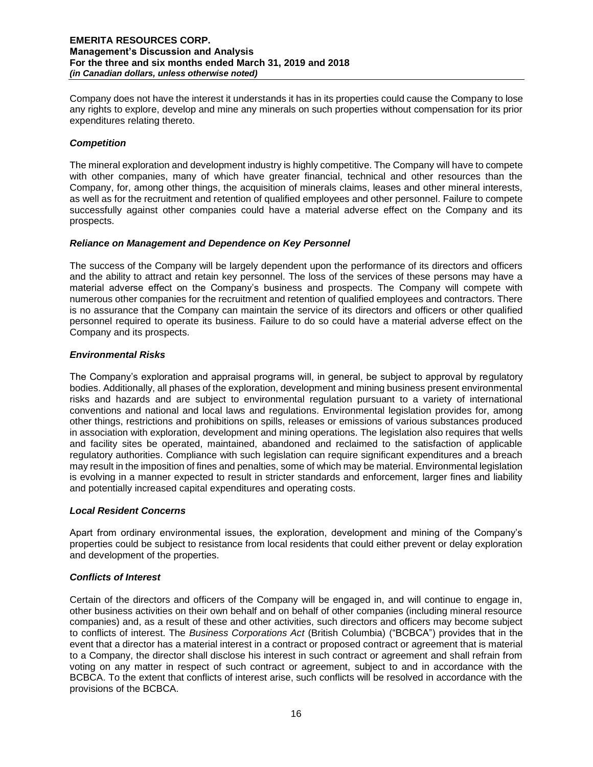Company does not have the interest it understands it has in its properties could cause the Company to lose any rights to explore, develop and mine any minerals on such properties without compensation for its prior expenditures relating thereto.

# *Competition*

The mineral exploration and development industry is highly competitive. The Company will have to compete with other companies, many of which have greater financial, technical and other resources than the Company, for, among other things, the acquisition of minerals claims, leases and other mineral interests, as well as for the recruitment and retention of qualified employees and other personnel. Failure to compete successfully against other companies could have a material adverse effect on the Company and its prospects.

# *Reliance on Management and Dependence on Key Personnel*

The success of the Company will be largely dependent upon the performance of its directors and officers and the ability to attract and retain key personnel. The loss of the services of these persons may have a material adverse effect on the Company's business and prospects. The Company will compete with numerous other companies for the recruitment and retention of qualified employees and contractors. There is no assurance that the Company can maintain the service of its directors and officers or other qualified personnel required to operate its business. Failure to do so could have a material adverse effect on the Company and its prospects.

# *Environmental Risks*

The Company's exploration and appraisal programs will, in general, be subject to approval by regulatory bodies. Additionally, all phases of the exploration, development and mining business present environmental risks and hazards and are subject to environmental regulation pursuant to a variety of international conventions and national and local laws and regulations. Environmental legislation provides for, among other things, restrictions and prohibitions on spills, releases or emissions of various substances produced in association with exploration, development and mining operations. The legislation also requires that wells and facility sites be operated, maintained, abandoned and reclaimed to the satisfaction of applicable regulatory authorities. Compliance with such legislation can require significant expenditures and a breach may result in the imposition of fines and penalties, some of which may be material. Environmental legislation is evolving in a manner expected to result in stricter standards and enforcement, larger fines and liability and potentially increased capital expenditures and operating costs.

# *Local Resident Concerns*

Apart from ordinary environmental issues, the exploration, development and mining of the Company's properties could be subject to resistance from local residents that could either prevent or delay exploration and development of the properties.

# *Conflicts of Interest*

Certain of the directors and officers of the Company will be engaged in, and will continue to engage in, other business activities on their own behalf and on behalf of other companies (including mineral resource companies) and, as a result of these and other activities, such directors and officers may become subject to conflicts of interest. The *Business Corporations Act* (British Columbia) ("BCBCA") provides that in the event that a director has a material interest in a contract or proposed contract or agreement that is material to a Company, the director shall disclose his interest in such contract or agreement and shall refrain from voting on any matter in respect of such contract or agreement, subject to and in accordance with the BCBCA. To the extent that conflicts of interest arise, such conflicts will be resolved in accordance with the provisions of the BCBCA.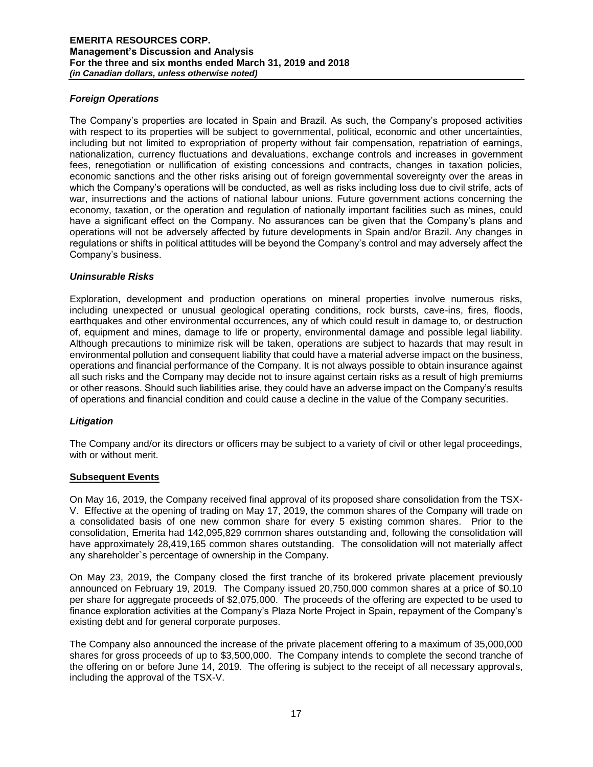# *Foreign Operations*

The Company's properties are located in Spain and Brazil. As such, the Company's proposed activities with respect to its properties will be subject to governmental, political, economic and other uncertainties, including but not limited to expropriation of property without fair compensation, repatriation of earnings, nationalization, currency fluctuations and devaluations, exchange controls and increases in government fees, renegotiation or nullification of existing concessions and contracts, changes in taxation policies, economic sanctions and the other risks arising out of foreign governmental sovereignty over the areas in which the Company's operations will be conducted, as well as risks including loss due to civil strife, acts of war, insurrections and the actions of national labour unions. Future government actions concerning the economy, taxation, or the operation and regulation of nationally important facilities such as mines, could have a significant effect on the Company. No assurances can be given that the Company's plans and operations will not be adversely affected by future developments in Spain and/or Brazil. Any changes in regulations or shifts in political attitudes will be beyond the Company's control and may adversely affect the Company's business.

# *Uninsurable Risks*

Exploration, development and production operations on mineral properties involve numerous risks, including unexpected or unusual geological operating conditions, rock bursts, cave-ins, fires, floods, earthquakes and other environmental occurrences, any of which could result in damage to, or destruction of, equipment and mines, damage to life or property, environmental damage and possible legal liability. Although precautions to minimize risk will be taken, operations are subject to hazards that may result in environmental pollution and consequent liability that could have a material adverse impact on the business, operations and financial performance of the Company. It is not always possible to obtain insurance against all such risks and the Company may decide not to insure against certain risks as a result of high premiums or other reasons. Should such liabilities arise, they could have an adverse impact on the Company's results of operations and financial condition and could cause a decline in the value of the Company securities.

# *Litigation*

The Company and/or its directors or officers may be subject to a variety of civil or other legal proceedings, with or without merit.

# **Subsequent Events**

On May 16, 2019, the Company received final approval of its proposed share consolidation from the TSX-V. Effective at the opening of trading on May 17, 2019, the common shares of the Company will trade on a consolidated basis of one new common share for every 5 existing common shares. Prior to the consolidation, Emerita had 142,095,829 common shares outstanding and, following the consolidation will have approximately 28,419,165 common shares outstanding. The consolidation will not materially affect any shareholder`s percentage of ownership in the Company.

On May 23, 2019, the Company closed the first tranche of its brokered private placement previously announced on February 19, 2019. The Company issued 20,750,000 common shares at a price of \$0.10 per share for aggregate proceeds of \$2,075,000. The proceeds of the offering are expected to be used to finance exploration activities at the Company's Plaza Norte Project in Spain, repayment of the Company's existing debt and for general corporate purposes.

The Company also announced the increase of the private placement offering to a maximum of 35,000,000 shares for gross proceeds of up to \$3,500,000. The Company intends to complete the second tranche of the offering on or before June 14, 2019. The offering is subject to the receipt of all necessary approvals, including the approval of the TSX-V.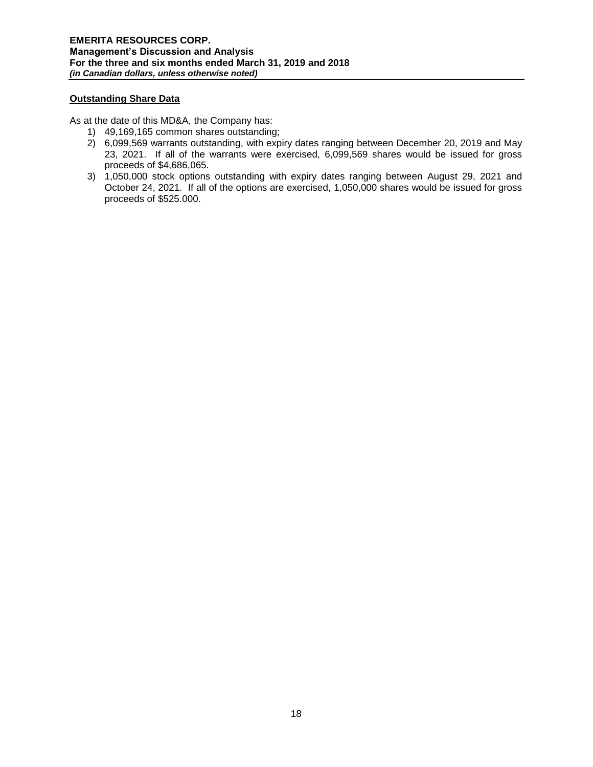# **Outstanding Share Data**

As at the date of this MD&A, the Company has:

- 1) 49,169,165 common shares outstanding;
- 2) 6,099,569 warrants outstanding, with expiry dates ranging between December 20, 2019 and May 23, 2021. If all of the warrants were exercised, 6,099,569 shares would be issued for gross proceeds of \$4,686,065.
- 3) 1,050,000 stock options outstanding with expiry dates ranging between August 29, 2021 and October 24, 2021. If all of the options are exercised, 1,050,000 shares would be issued for gross proceeds of \$525.000.